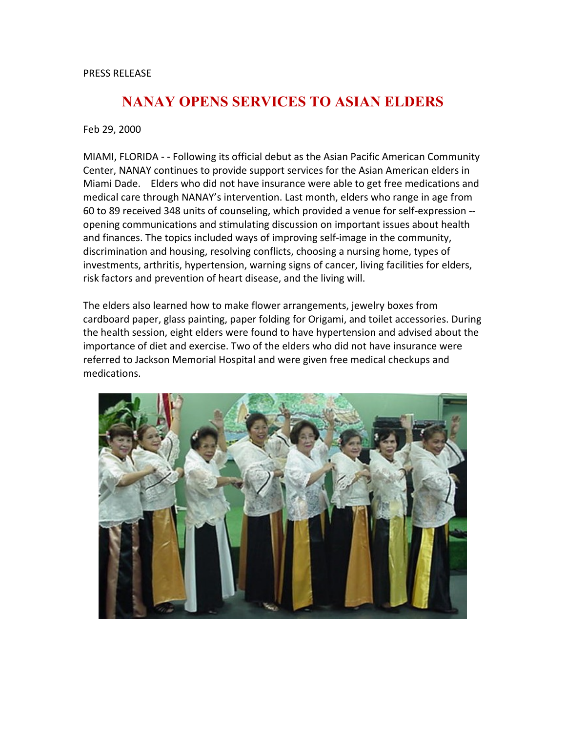## PRESS RELEASE

## **NANAY OPENS SERVICES TO ASIAN ELDERS**

Feb 29, 2000

MIAMI, FLORIDA - - Following its official debut as the Asian Pacific American Community Center, NANAY continues to provide support services for the Asian American elders in Miami Dade. Elders who did not have insurance were able to get free medications and medical care through NANAY's intervention. Last month, elders who range in age from 60 to 89 received 348 units of counseling, which provided a venue for self-expression - opening communications and stimulating discussion on important issues about health and finances. The topics included ways of improving self-image in the community, discrimination and housing, resolving conflicts, choosing a nursing home, types of investments, arthritis, hypertension, warning signs of cancer, living facilities for elders, risk factors and prevention of heart disease, and the living will.

The elders also learned how to make flower arrangements, jewelry boxes from cardboard paper, glass painting, paper folding for Origami, and toilet accessories. During the health session, eight elders were found to have hypertension and advised about the importance of diet and exercise. Two of the elders who did not have insurance were referred to Jackson Memorial Hospital and were given free medical checkups and medications.